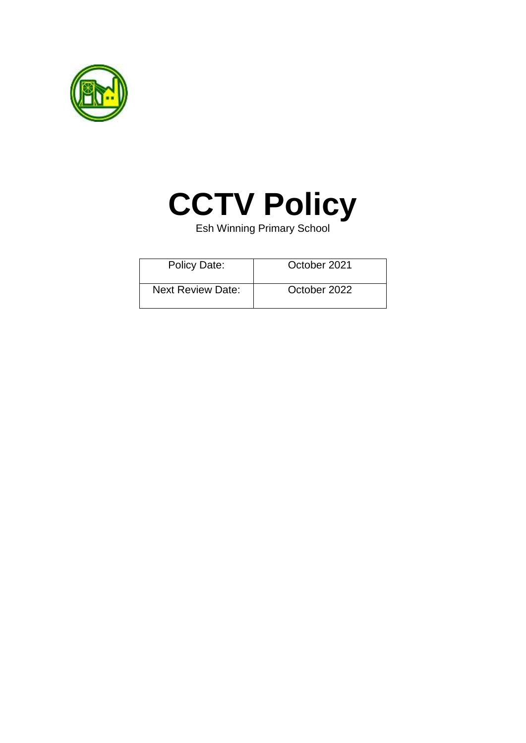



Esh Winning Primary School

| <b>Policy Date:</b>      | October 2021 |
|--------------------------|--------------|
| <b>Next Review Date:</b> | October 2022 |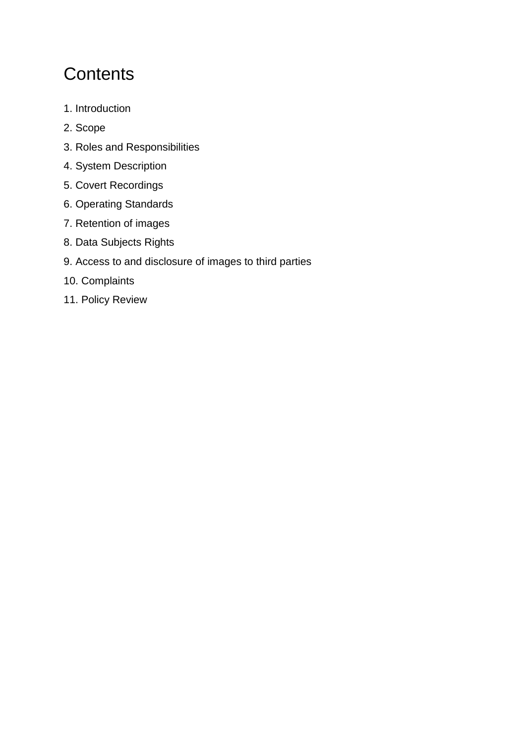# **Contents**

- 1. Introduction
- 2. Scope
- 3. Roles and Responsibilities
- 4. System Description
- 5. Covert Recordings
- 6. Operating Standards
- 7. Retention of images
- 8. Data Subjects Rights
- 9. Access to and disclosure of images to third parties
- 10. Complaints
- 11. Policy Review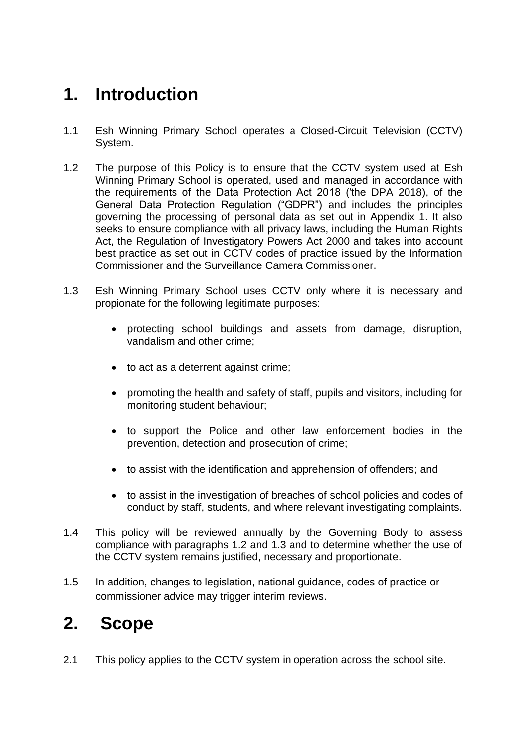# **1. Introduction**

- 1.1 Esh Winning Primary School operates a Closed-Circuit Television (CCTV) System.
- 1.2 The purpose of this Policy is to ensure that the CCTV system used at Esh Winning Primary School is operated, used and managed in accordance with the requirements of the Data Protection Act 2018 ('the DPA 2018), of the General Data Protection Regulation ("GDPR") and includes the principles governing the processing of personal data as set out in Appendix 1. It also seeks to ensure compliance with all privacy laws, including the Human Rights Act, the Regulation of Investigatory Powers Act 2000 and takes into account best practice as set out in CCTV codes of practice issued by the Information Commissioner and the Surveillance Camera Commissioner.
- 1.3 Esh Winning Primary School uses CCTV only where it is necessary and propionate for the following legitimate purposes:
	- protecting school buildings and assets from damage, disruption, vandalism and other crime;
	- to act as a deterrent against crime;
	- promoting the health and safety of staff, pupils and visitors, including for monitoring student behaviour;
	- to support the Police and other law enforcement bodies in the prevention, detection and prosecution of crime;
	- to assist with the identification and apprehension of offenders; and
	- to assist in the investigation of breaches of school policies and codes of conduct by staff, students, and where relevant investigating complaints.
- 1.4 This policy will be reviewed annually by the Governing Body to assess compliance with paragraphs 1.2 and 1.3 and to determine whether the use of the CCTV system remains justified, necessary and proportionate.
- 1.5 In addition, changes to legislation, national guidance, codes of practice or commissioner advice may trigger interim reviews.

# **2. Scope**

2.1 This policy applies to the CCTV system in operation across the school site.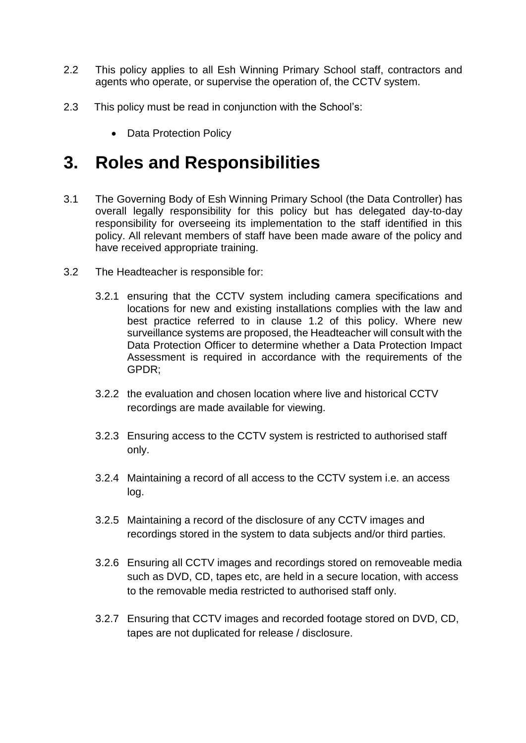- 2.2 This policy applies to all Esh Winning Primary School staff, contractors and agents who operate, or supervise the operation of, the CCTV system.
- 2.3 This policy must be read in conjunction with the School's:
	- Data Protection Policy

### **3. Roles and Responsibilities**

- 3.1 The Governing Body of Esh Winning Primary School (the Data Controller) has overall legally responsibility for this policy but has delegated day-to-day responsibility for overseeing its implementation to the staff identified in this policy. All relevant members of staff have been made aware of the policy and have received appropriate training.
- 3.2 The Headteacher is responsible for:
	- 3.2.1 ensuring that the CCTV system including camera specifications and locations for new and existing installations complies with the law and best practice referred to in clause 1.2 of this policy. Where new surveillance systems are proposed, the Headteacher will consult with the Data Protection Officer to determine whether a Data Protection Impact Assessment is required in accordance with the requirements of the GPDR;
	- 3.2.2 the evaluation and chosen location where live and historical CCTV recordings are made available for viewing.
	- 3.2.3 Ensuring access to the CCTV system is restricted to authorised staff only.
	- 3.2.4 Maintaining a record of all access to the CCTV system i.e. an access log.
	- 3.2.5 Maintaining a record of the disclosure of any CCTV images and recordings stored in the system to data subjects and/or third parties.
	- 3.2.6 Ensuring all CCTV images and recordings stored on removeable media such as DVD, CD, tapes etc, are held in a secure location, with access to the removable media restricted to authorised staff only.
	- 3.2.7 Ensuring that CCTV images and recorded footage stored on DVD, CD, tapes are not duplicated for release / disclosure.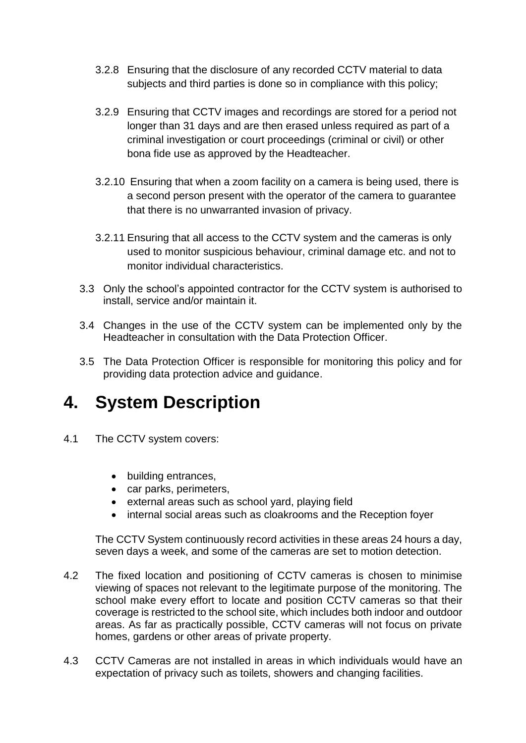- 3.2.8 Ensuring that the disclosure of any recorded CCTV material to data subjects and third parties is done so in compliance with this policy;
- 3.2.9 Ensuring that CCTV images and recordings are stored for a period not longer than 31 days and are then erased unless required as part of a criminal investigation or court proceedings (criminal or civil) or other bona fide use as approved by the Headteacher.
- 3.2.10 Ensuring that when a zoom facility on a camera is being used, there is a second person present with the operator of the camera to guarantee that there is no unwarranted invasion of privacy.
- 3.2.11 Ensuring that all access to the CCTV system and the cameras is only used to monitor suspicious behaviour, criminal damage etc. and not to monitor individual characteristics.
- 3.3 Only the school's appointed contractor for the CCTV system is authorised to install, service and/or maintain it.
- 3.4 Changes in the use of the CCTV system can be implemented only by the Headteacher in consultation with the Data Protection Officer.
- 3.5 The Data Protection Officer is responsible for monitoring this policy and for providing data protection advice and guidance.

# **4. System Description**

- 4.1 The CCTV system covers:
	- building entrances,
	- car parks, perimeters,
	- external areas such as school yard, playing field
	- internal social areas such as cloakrooms and the Reception foyer

The CCTV System continuously record activities in these areas 24 hours a day, seven days a week, and some of the cameras are set to motion detection.

- 4.2 The fixed location and positioning of CCTV cameras is chosen to minimise viewing of spaces not relevant to the legitimate purpose of the monitoring. The school make every effort to locate and position CCTV cameras so that their coverage is restricted to the school site, which includes both indoor and outdoor areas. As far as practically possible, CCTV cameras will not focus on private homes, gardens or other areas of private property.
- 4.3 CCTV Cameras are not installed in areas in which individuals would have an expectation of privacy such as toilets, showers and changing facilities.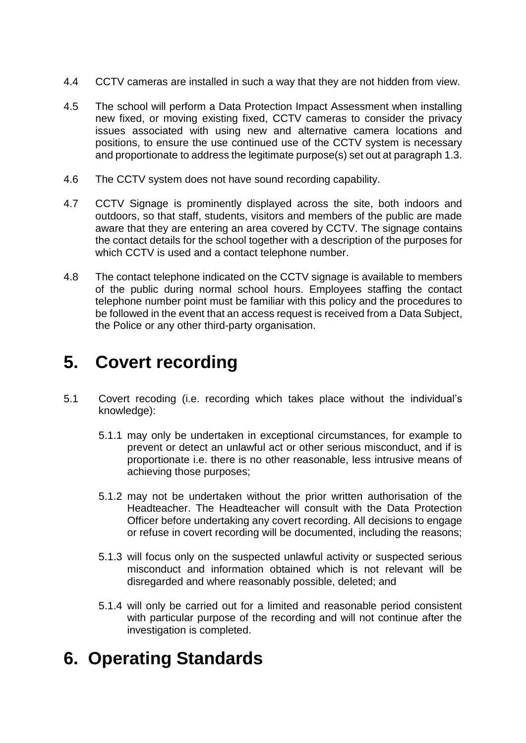- 4.4 CCTV cameras are installed in such a way that they are not hidden from view.
- 4.5 The school will perform a Data Protection Impact Assessment when installing new fixed, or moving existing fixed, CCTV cameras to consider the privacy issues associated with using new and alternative camera locations and positions, to ensure the use continued use of the CCTV system is necessary and proportionate to address the legitimate purpose(s) set out at paragraph 1.3.
- 4.6 The CCTV system does not have sound recording capability.
- 4.7 CCTV Signage is prominently displayed across the site, both indoors and outdoors, so that staff, students, visitors and members of the public are made aware that they are entering an area covered by CCTV. The signage contains the contact details for the school together with a description of the purposes for which CCTV is used and a contact telephone number.
- 4.8 The contact telephone indicated on the CCTV signage is available to members of the public during normal school hours. Employees staffing the contact telephone number point must be familiar with this policy and the procedures to be followed in the event that an access request is received from a Data Subject, the Police or any other third-party organisation.

## **5. Covert recording**

- 5.1 Covert recoding (i.e. recording which takes place without the individual's knowledge):
	- 5.1.1 may only be undertaken in exceptional circumstances, for example to prevent or detect an unlawful act or other serious misconduct, and if is proportionate i.e. there is no other reasonable, less intrusive means of achieving those purposes;
	- 5.1.2 may not be undertaken without the prior written authorisation of the Headteacher. The Headteacher will consult with the Data Protection Officer before undertaking any covert recording. All decisions to engage or refuse in covert recording will be documented, including the reasons;
	- 5.1.3 will focus only on the suspected unlawful activity or suspected serious misconduct and information obtained which is not relevant will be disregarded and where reasonably possible, deleted; and
	- 5.1.4 will only be carried out for a limited and reasonable period consistent with particular purpose of the recording and will not continue after the investigation is completed.

## **6. Operating Standards**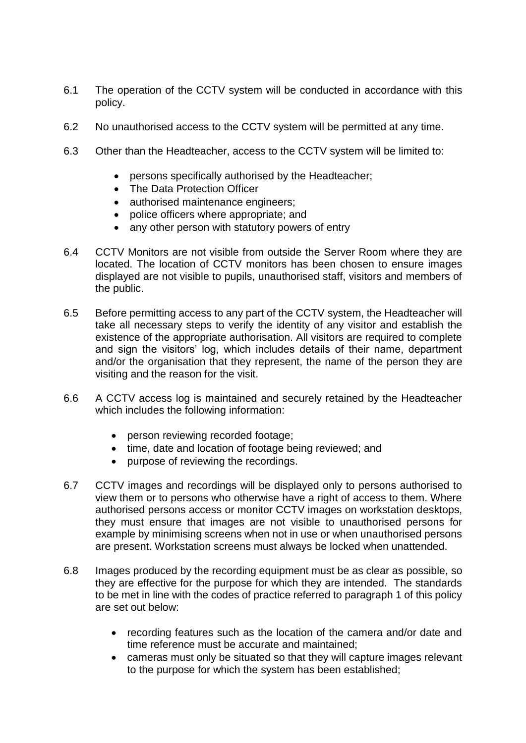- 6.1 The operation of the CCTV system will be conducted in accordance with this policy.
- 6.2 No unauthorised access to the CCTV system will be permitted at any time.
- 6.3 Other than the Headteacher, access to the CCTV system will be limited to:
	- persons specifically authorised by the Headteacher;
	- The Data Protection Officer
	- authorised maintenance engineers;
	- police officers where appropriate; and
	- any other person with statutory powers of entry
- 6.4 CCTV Monitors are not visible from outside the Server Room where they are located. The location of CCTV monitors has been chosen to ensure images displayed are not visible to pupils, unauthorised staff, visitors and members of the public.
- 6.5 Before permitting access to any part of the CCTV system, the Headteacher will take all necessary steps to verify the identity of any visitor and establish the existence of the appropriate authorisation. All visitors are required to complete and sign the visitors' log, which includes details of their name, department and/or the organisation that they represent, the name of the person they are visiting and the reason for the visit.
- 6.6 A CCTV access log is maintained and securely retained by the Headteacher which includes the following information:
	- person reviewing recorded footage;
	- time, date and location of footage being reviewed; and
	- purpose of reviewing the recordings.
- 6.7 CCTV images and recordings will be displayed only to persons authorised to view them or to persons who otherwise have a right of access to them. Where authorised persons access or monitor CCTV images on workstation desktops, they must ensure that images are not visible to unauthorised persons for example by minimising screens when not in use or when unauthorised persons are present. Workstation screens must always be locked when unattended.
- 6.8 Images produced by the recording equipment must be as clear as possible, so they are effective for the purpose for which they are intended. The standards to be met in line with the codes of practice referred to paragraph 1 of this policy are set out below:
	- recording features such as the location of the camera and/or date and time reference must be accurate and maintained;
	- cameras must only be situated so that they will capture images relevant to the purpose for which the system has been established;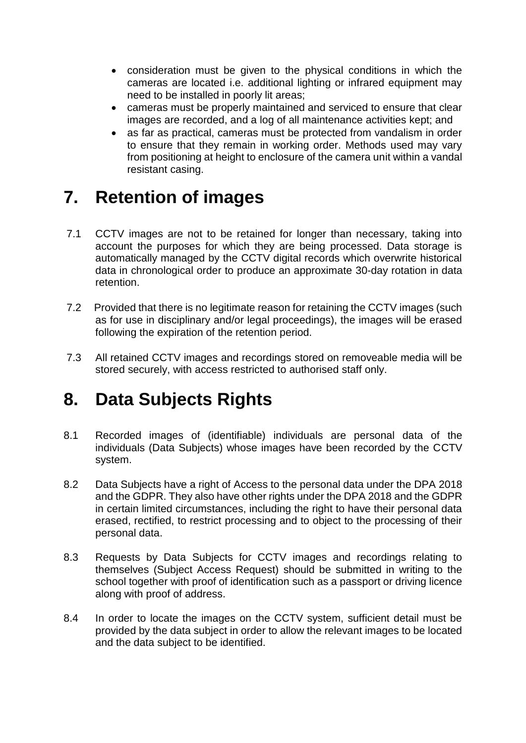- consideration must be given to the physical conditions in which the cameras are located i.e. additional lighting or infrared equipment may need to be installed in poorly lit areas;
- cameras must be properly maintained and serviced to ensure that clear images are recorded, and a log of all maintenance activities kept; and
- as far as practical, cameras must be protected from vandalism in order to ensure that they remain in working order. Methods used may vary from positioning at height to enclosure of the camera unit within a vandal resistant casing.

# **7. Retention of images**

- 7.1 CCTV images are not to be retained for longer than necessary, taking into account the purposes for which they are being processed. Data storage is automatically managed by the CCTV digital records which overwrite historical data in chronological order to produce an approximate 30-day rotation in data retention.
- 7.2 Provided that there is no legitimate reason for retaining the CCTV images (such as for use in disciplinary and/or legal proceedings), the images will be erased following the expiration of the retention period.
- 7.3 All retained CCTV images and recordings stored on removeable media will be stored securely, with access restricted to authorised staff only.

# **8. Data Subjects Rights**

- 8.1 Recorded images of (identifiable) individuals are personal data of the individuals (Data Subjects) whose images have been recorded by the CCTV system.
- 8.2 Data Subjects have a right of Access to the personal data under the DPA 2018 and the GDPR. They also have other rights under the DPA 2018 and the GDPR in certain limited circumstances, including the right to have their personal data erased, rectified, to restrict processing and to object to the processing of their personal data.
- 8.3 Requests by Data Subjects for CCTV images and recordings relating to themselves (Subject Access Request) should be submitted in writing to the school together with proof of identification such as a passport or driving licence along with proof of address.
- 8.4 In order to locate the images on the CCTV system, sufficient detail must be provided by the data subject in order to allow the relevant images to be located and the data subject to be identified.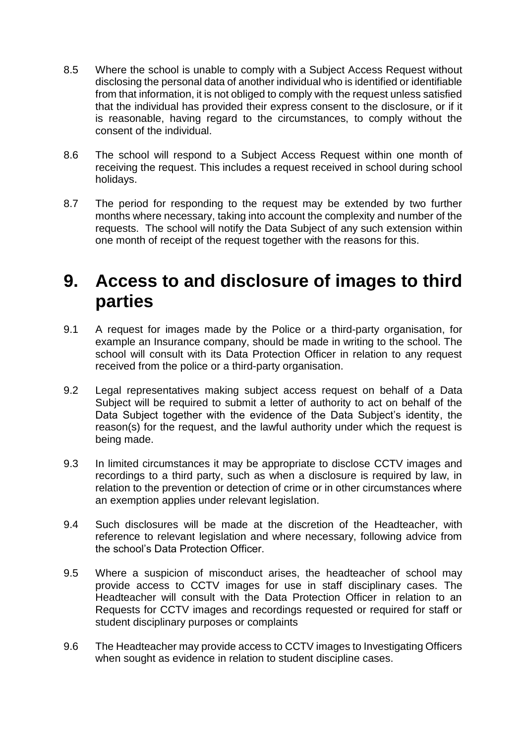- 8.5 Where the school is unable to comply with a Subject Access Request without disclosing the personal data of another individual who is identified or identifiable from that information, it is not obliged to comply with the request unless satisfied that the individual has provided their express consent to the disclosure, or if it is reasonable, having regard to the circumstances, to comply without the consent of the individual.
- 8.6 The school will respond to a Subject Access Request within one month of receiving the request. This includes a request received in school during school holidays.
- 8.7 The period for responding to the request may be extended by two further months where necessary, taking into account the complexity and number of the requests. The school will notify the Data Subject of any such extension within one month of receipt of the request together with the reasons for this.

## **9. Access to and disclosure of images to third parties**

- 9.1 A request for images made by the Police or a third-party organisation, for example an Insurance company, should be made in writing to the school. The school will consult with its Data Protection Officer in relation to any request received from the police or a third-party organisation.
- 9.2 Legal representatives making subject access request on behalf of a Data Subject will be required to submit a letter of authority to act on behalf of the Data Subject together with the evidence of the Data Subject's identity, the reason(s) for the request, and the lawful authority under which the request is being made.
- 9.3 In limited circumstances it may be appropriate to disclose CCTV images and recordings to a third party, such as when a disclosure is required by law, in relation to the prevention or detection of crime or in other circumstances where an exemption applies under relevant legislation.
- 9.4 Such disclosures will be made at the discretion of the Headteacher, with reference to relevant legislation and where necessary, following advice from the school's Data Protection Officer.
- 9.5 Where a suspicion of misconduct arises, the headteacher of school may provide access to CCTV images for use in staff disciplinary cases. The Headteacher will consult with the Data Protection Officer in relation to an Requests for CCTV images and recordings requested or required for staff or student disciplinary purposes or complaints
- 9.6 The Headteacher may provide access to CCTV images to Investigating Officers when sought as evidence in relation to student discipline cases.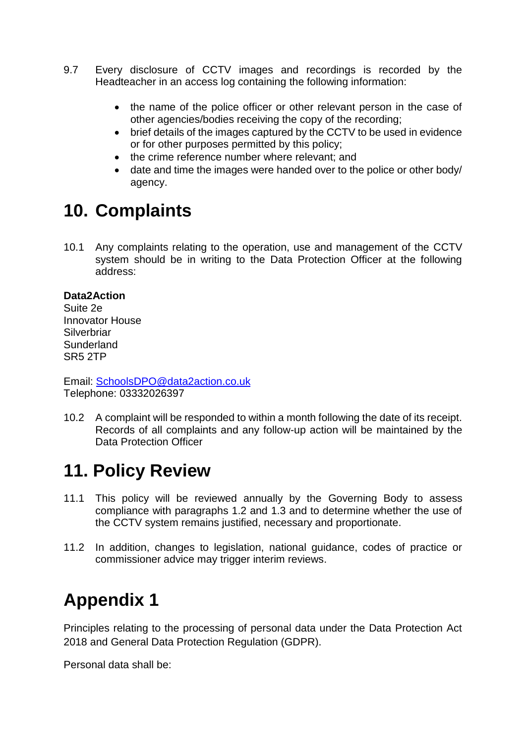- 9.7 Every disclosure of CCTV images and recordings is recorded by the Headteacher in an access log containing the following information:
	- the name of the police officer or other relevant person in the case of other agencies/bodies receiving the copy of the recording;
	- brief details of the images captured by the CCTV to be used in evidence or for other purposes permitted by this policy;
	- the crime reference number where relevant; and
	- date and time the images were handed over to the police or other body/ agency.

# **10. Complaints**

10.1 Any complaints relating to the operation, use and management of the CCTV system should be in writing to the Data Protection Officer at the following address:

#### **Data2Action**

Suite 2e Innovator House **Silverbriar Sunderland** SR5 2TP

Email: [SchoolsDPO@data2action.co.uk](mailto:SchoolsDPO@data2action.co.uk) Telephone: 03332026397

10.2 A complaint will be responded to within a month following the date of its receipt. Records of all complaints and any follow-up action will be maintained by the Data Protection Officer

# **11. Policy Review**

- 11.1 This policy will be reviewed annually by the Governing Body to assess compliance with paragraphs 1.2 and 1.3 and to determine whether the use of the CCTV system remains justified, necessary and proportionate.
- 11.2 In addition, changes to legislation, national guidance, codes of practice or commissioner advice may trigger interim reviews.

# **Appendix 1**

Principles relating to the processing of personal data under the Data Protection Act 2018 and General Data Protection Regulation (GDPR).

Personal data shall be: